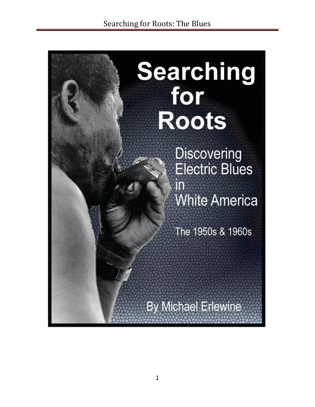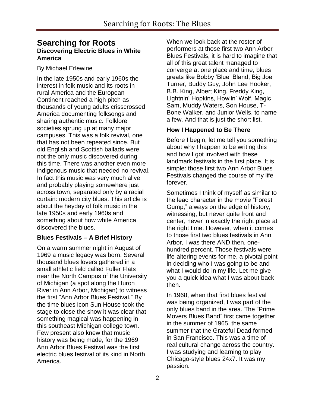# **Searching for Roots Discovering Electric Blues in White America**

By Michael Erlewine

In the late 1950s and early 1960s the interest in folk music and its roots in rural America and the European Continent reached a high pitch as thousands of young adults crisscrossed America documenting folksongs and sharing authentic music. Folklore societies sprung up at many major campuses. This was a folk revival, one that has not been repeated since. But old English and Scottish ballads were not the only music discovered during this time. There was another even more indigenous music that needed no revival. In fact this music was very much alive and probably playing somewhere just across town, separated only by a racial curtain: modern city blues. This article is about the heyday of folk music in the late 1950s and early 1960s and something about how white America discovered the blues.

#### **Blues Festivals – A Brief History**

On a warm summer night in August of 1969 a music legacy was born. Several thousand blues lovers gathered in a small athletic field called Fuller Flats near the North Campus of the University of Michigan (a spot along the Huron River in Ann Arbor, Michigan) to witness the first "Ann Arbor Blues Festival." By the time blues icon Sun House took the stage to close the show it was clear that something magical was happening in this southeast Michigan college town. Few present also knew that music history was being made, for the 1969 Ann Arbor Blues Festival was the first electric blues festival of its kind in North America.

When we look back at the roster of performers at those first two Ann Arbor Blues Festivals, it is hard to imagine that all of this great talent managed to converge at one place and time, blues greats like Bobby "Blue" Bland, Big Joe Turner, Buddy Guy, John Lee Hooker, B.B. King, Albert King, Freddy King, Lightnin" Hopkins, Howlin" Wolf, Magic Sam, Muddy Waters, Son House, T-Bone Walker, and Junior Wells, to name a few. And that is just the short list.

# **How I Happened to Be There**

Before I begin, let me tell you something about why I happen to be writing this and how I got involved with these landmark festivals in the first place. It is simple: those first two Ann Arbor Blues Festivals changed the course of my life forever.

Sometimes I think of myself as similar to the lead character in the movie "Forest Gump," always on the edge of history, witnessing, but never quite front and center, never in exactly the right place at the right time. However, when it comes to those first two blues festivals in Ann Arbor, I was there AND then, onehundred percent. Those festivals were life-altering events for me, a pivotal point in deciding who I was going to be and what I would do in my life. Let me give you a quick idea what I was about back then.

In 1968, when that first blues festival was being organized, I was part of the only blues band in the area. The "Prime Movers Blues Band" first came together in the summer of 1965, the same summer that the Grateful Dead formed in San Francisco. This was a time of real cultural change across the country. I was studying and learning to play Chicago-style blues 24x7. It was my passion.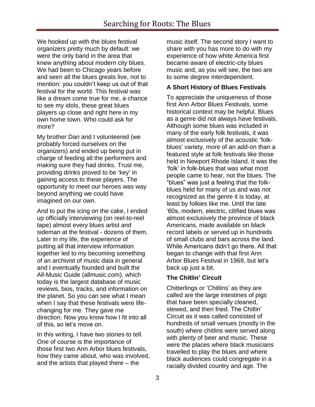We hooked up with the blues festival organizers pretty much by default: we were the only band in the area that knew anything about modern city blues. We had been to Chicago years before and seen all the blues greats live, not to mention: you couldn"t keep us out of that festival for the world. This festival was like a dream come true for me, a chance to see my idols, these great blues players up close and right here in my own home town. Who could ask for more?

My brother Dan and I volunteered (we probably forced ourselves on the organizers) and ended up being put in charge of feeding all the performers and making sure they had drinks. Trust me, providing drinks proved to be "key" in gaining access to these players. The opportunity to meet our heroes was way beyond anything we could have imagined on our own.

And to put the icing on the cake, I ended up officially interviewing (on reel-to-reel tape) almost every blues artist and sideman at the festival - dozens of them. Later in my life, the experience of putting all that interview information together led to my becoming something of an archivist of music data in general and I eventually founded and built the All-Music Guide (allmusic.com), which today is the largest database of music reviews, bios, tracks, and information on the planet. So you can see what I mean when I say that these festivals were lifechanging for me. They gave me direction. Now you know how I fit into all of this, so let"s move on.

In this writing, I have two stories to tell. One of course is the importance of those first two Ann Arbor blues festivals, how they came about, who was involved, and the artists that played there – the

music itself. The second story I want to share with you has more to do with my experience of how white America first became aware of electric-city blues music and, as you will see, the two are to some degree interdependent.

## **A Short History of Blues Festivals**

To appreciate the uniqueness of those first Ann Arbor Blues Festivals, some historical context may be helpful. Blues as a genre did not always have festivals. Although some blues was included in many of the early folk festivals, it was almost exclusively of the acoustic "folkblues" variety, more of an add-on than a featured style at folk festivals like those held in Newport Rhode Island. It was the "folk" in folk-blues that was what most people came to hear, not the blues. The "blues" was just a feeling that the folkblues held for many of us and was not recognized as the genre it is today, at least by folkies like me. Until the late "60s, modern, electric, citified blues was almost exclusively the province of black Americans, made available on black record labels or served up in hundreds of small clubs and bars across the land. White Americans didn"t go there. All that began to change with that first Ann Arbor Blues Festival in 1969, but let"s back up just a bit.

#### **The Chitlin' Circuit**

Chitterlings or "Chitlins" as they are called are the large intestines of pigs that have been specially cleaned, stewed, and then fried. The Chitlin" Circuit as it was called consisted of hundreds of small venues (mostly in the south) where chitlins were served along with plenty of beer and music. These were the places where black musicians travelled to play the blues and where black audiences could congregate in a racially divided country and age. The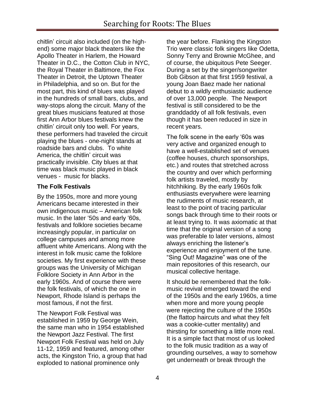chitlin" circuit also included (on the highend) some major black theaters like the Apollo Theater in Harlem, the Howard Theater in D.C., the Cotton Club in NYC, the Royal Theater in Baltimore, the Fox Theater in Detroit, the Uptown Theater in Philadelphia, and so on. But for the most part, this kind of blues was played in the hundreds of small bars, clubs, and way-stops along the circuit. Many of the great blues musicians featured at those first Ann Arbor blues festivals knew the chitlin" circuit only too well. For years, these performers had traveled the circuit playing the blues - one-night stands at roadside bars and clubs. To white America, the chitlin' circuit was practically invisible. City blues at that time was black music played in black venues - music for blacks.

# **The Folk Festivals**

By the 1950s, more and more young Americans became interested in their own indigenous music – American folk music. In the later "50s and early "60s, festivals and folklore societies became increasingly popular, in particular on college campuses and among more affluent white Americans. Along with the interest in folk music came the folklore societies. My first experience with these groups was the University of Michigan Folklore Society in Ann Arbor in the early 1960s. And of course there were the folk festivals, of which the one in Newport, Rhode Island is perhaps the most famous, if not the first.

The Newport Folk Festival was established in 1959 by George Wein, the same man who in 1954 established the Newport Jazz Festival. The first Newport Folk Festival was held on July 11-12, 1959 and featured, among other acts, the Kingston Trio, a group that had exploded to national prominence only

the year before. Flanking the Kingston Trio were classic folk singers like Odetta, Sonny Terry and Brownie McGhee, and of course, the ubiquitous Pete Seeger. During a set by the singer/songwriter Bob Gibson at that first 1959 festival, a young Joan Baez made her national debut to a wildly enthusiastic audience of over 13,000 people. The Newport festival is still considered to be the granddaddy of all folk festivals, even though it has been reduced in size in recent years.

The folk scene in the early "60s was very active and organized enough to have a well-established set of venues (coffee houses, church sponsorships, etc.) and routes that stretched across the country and over which performing folk artists traveled, mostly by hitchhiking. By the early 1960s folk enthusiasts everywhere were learning the rudiments of music research, at least to the point of tracing particular songs back through time to their roots or at least trying to. It was axiomatic at that time that the original version of a song was preferable to later versions, almost always enriching the listener"s experience and enjoyment of the tune. "Sing Out! Magazine" was one of the main repositories of this research, our musical collective heritage.

It should be remembered that the folkmusic revival emerged toward the end of the 1950s and the early 1960s, a time when more and more young people were rejecting the culture of the 1950s (the flattop haircuts and what they felt was a cookie-cutter mentality) and thirsting for something a little more real. It is a simple fact that most of us looked to the folk music tradition as a way of grounding ourselves, a way to somehow get underneath or break through the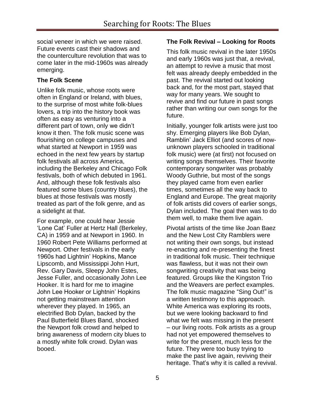social veneer in which we were raised. Future events cast their shadows and the counterculture revolution that was to come later in the mid-1960s was already emerging.

# **The Folk Scene**

Unlike folk music, whose roots were often in England or Ireland, with blues, to the surprise of most white folk-blues lovers, a trip into the history book was often as easy as venturing into a different part of town, only we didn"t know it then. The folk music scene was flourishing on college campuses and what started at Newport in 1959 was echoed in the next few years by startup folk festivals all across America, including the Berkeley and Chicago Folk festivals, both of which debuted in 1961. And, although these folk festivals also featured some blues (country blues), the blues at those festivals was mostly treated as part of the folk genre, and as a sidelight at that.

For example, one could hear Jessie 'Lone Cat' Fuller at Hertz Hall (Berkeley, CA) in 1959 and at Newport in 1960. In 1960 Robert Pete Williams performed at Newport. Other festivals in the early 1960s had Lightnin" Hopkins, Mance Lipscomb, and Mississippi John Hurt, Rev. Gary Davis, Sleepy John Estes, Jesse Fuller, and occasionally John Lee Hooker. It is hard for me to imagine John Lee Hooker or Lightnin" Hopkins not getting mainstream attention wherever they played. In 1965, an electrified Bob Dylan, backed by the Paul Butterfield Blues Band, shocked the Newport folk crowd and helped to bring awareness of modern city blues to a mostly white folk crowd. Dylan was booed.

## **The Folk Revival – Looking for Roots**

This folk music revival in the later 1950s and early 1960s was just that, a revival, an attempt to revive a music that most felt was already deeply embedded in the past. The revival started out looking back and, for the most part, stayed that way for many years. We sought to revive and find our future in past songs rather than writing our own songs for the future.

Initially, younger folk artists were just too shy. Emerging players like Bob Dylan, Ramblin" Jack Elliot (and scores of nowunknown players schooled in traditional folk music) were (at first) not focused on writing songs themselves. Their favorite contemporary songwriter was probably Woody Guthrie, but most of the songs they played came from even earlier times, sometimes all the way back to England and Europe. The great majority of folk artists did covers of earlier songs, Dylan included. The goal then was to do them well, to make them live again.

Pivotal artists of the time like Joan Baez and the New Lost City Ramblers were not writing their own songs, but instead re-enacting and re-presenting the finest in traditional folk music. Their technique was flawless, but it was not their own songwriting creativity that was being featured. Groups like the Kingston Trio and the Weavers are perfect examples. The folk music magazine "Sing Out!" is a written testimony to this approach. White America was exploring its roots, but we were looking backward to find what we felt was missing in the present – our living roots. Folk artists as a group had not yet empowered themselves to write for the present, much less for the future. They were too busy trying to make the past live again, reviving their heritage. That"s why it is called a revival.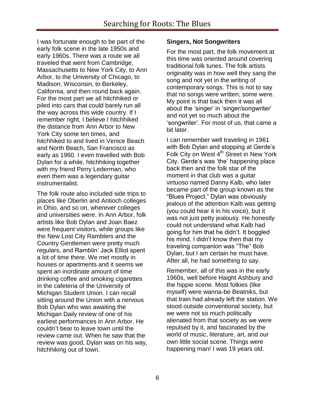I was fortunate enough to be part of the early folk scene in the late 1950s and early 1960s. There was a route we all traveled that went from Cambridge, Massachusetts to New York City, to Ann Arbor, to the University of Chicago, to Madison, Wisconsin, to Berkeley, California, and then round back again. For the most part we all hitchhiked or piled into cars that could barely run all the way across this wide country. If I remember right, I believe I hitchhiked the distance from Ann Arbor to New York City some ten times, and hitchhiked to and lived in Venice Beach and North Beach, San Francisco as early as 1960. I even travelled with Bob Dylan for a while, hitchhiking together with my friend Perry Lederman, who even them was a legendary guitar instrumentalist.

The folk route also included side trips to places like Oberlin and Antioch colleges in Ohio, and so on, wherever colleges and universities were. In Ann Arbor, folk artists like Bob Dylan and Joan Baez were frequent visitors, while groups like the New Lost City Ramblers and the Country Gentlemen were pretty much regulars, and Ramblin" Jack Elliot spent a lot of time there. We met mostly in houses or apartments and it seems we spent an inordinate amount of time drinking coffee and smoking cigarettes in the cafeteria of the University of Michigan Student Union. I can recall sitting around the Union with a nervous Bob Dylan who was awaiting the Michigan Daily review of one of his earliest performances in Ann Arbor. He couldn"t bear to leave town until the review came out. When he saw that the review was good, Dylan was on his way, hitchhiking out of town.

#### **Singers, Not Songwriters**

For the most part, the folk movement at this time was oriented around covering traditional folk tunes. The folk artists originality was in how well they sang the song and not yet in the writing of contemporary songs. This is not to say that no songs were written; some were. My point is that back then it was all about the 'singer' in 'singer/songwriter' and not yet so much about the "songwriter". For most of us, that came a bit later.

I can remember well traveling in 1961 with Bob Dylan and stopping at Gerde's Folk City on West 4<sup>th</sup> Street in New York City. Gerde's was 'the' happening place back then and the folk star of the moment in that club was a guitar virtuoso named Danny Kalb, who later became part of the group known as the "Blues Project." Dylan was obviously jealous of the attention Kalb was getting (you could hear it in his voice), but it was not just petty jealousy. He honestly could not understand what Kalb had going for him that he didn"t. It boggled his mind. I didn"t know then that my traveling companion was "The" Bob Dylan, but I am certain he must have. After all, he had something to say.

Remember, all of this was in the early 1960s, well before Haight Ashbury and the hippie scene. Most folkies (like myself) were wanna-be Beatniks, but that train had already left the station. We stood outside conventional society, but we were not so much politically alienated from that society as we were repulsed by it, and fascinated by the world of music, literature, art, and our own little social scene. Things were happening man! I was 19 years old.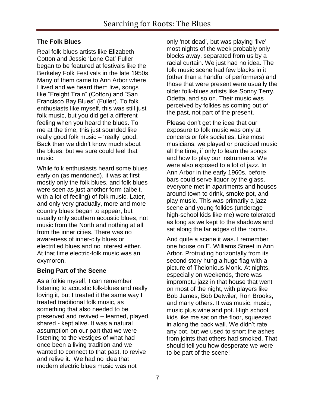# **The Folk Blues**

Real folk-blues artists like Elizabeth Cotton and Jessie "Lone Cat" Fuller began to be featured at festivals like the Berkeley Folk Festivals in the late 1950s. Many of them came to Ann Arbor where I lived and we heard them live, songs like "Freight Train" (Cotton) and "San Francisco Bay Blues" (Fuller). To folk enthusiasts like myself, this was still just folk music, but you did get a different feeling when you heard the blues. To me at the time, this just sounded like really good folk music – 'really' good. Back then we didn"t know much about the blues, but we sure could feel that music.

While folk enthusiasts heard some blues early on (as mentioned), it was at first mostly only the folk blues, and folk blues were seen as just another form (albeit, with a lot of feeling) of folk music. Later, and only very gradually, more and more country blues began to appear, but usually only southern acoustic blues, not music from the North and nothing at all from the inner cities. There was no awareness of inner-city blues or electrified blues and no interest either. At that time electric-folk music was an oxymoron.

# **Being Part of the Scene**

As a folkie myself, I can remember listening to acoustic folk-blues and really loving it, but I treated it the same way I treated traditional folk music, as something that also needed to be preserved and revived – learned, played, shared - kept alive. It was a natural assumption on our part that we were listening to the vestiges of what had once been a living tradition and we wanted to connect to that past, to revive and relive it. We had no idea that modern electric blues music was not

only "not-dead", but was playing "live" most nights of the week probably only blocks away, separated from us by a racial curtain. We just had no idea. The folk music scene had few blacks in it (other than a handful of performers) and those that were present were usually the older folk-blues artists like Sonny Terry, Odetta, and so on. Their music was perceived by folkies as coming out of the past, not part of the present.

Please don"t get the idea that our exposure to folk music was only at concerts or folk societies. Like most musicians, we played or practiced music all the time, if only to learn the songs and how to play our instruments. We were also exposed to a lot of jazz. In Ann Arbor in the early 1960s, before bars could serve liquor by the glass, everyone met in apartments and houses around town to drink, smoke pot, and play music. This was primarily a jazz scene and young folkies (underage high-school kids like me) were tolerated as long as we kept to the shadows and sat along the far edges of the rooms.

And quite a scene it was. I remember one house on E. Williams Street in Ann Arbor. Protruding horizontally from its second story hung a huge flag with a picture of Thelonious Monk. At nights, especially on weekends, there was impromptu jazz in that house that went on most of the night, with players like Bob James, Bob Detwiler, Ron Brooks, and many others. It was music, music, music plus wine and pot. High school kids like me sat on the floor, squeezed in along the back wall. We didn"t rate any pot, but we used to snort the ashes from joints that others had smoked. That should tell you how desperate we were to be part of the scene!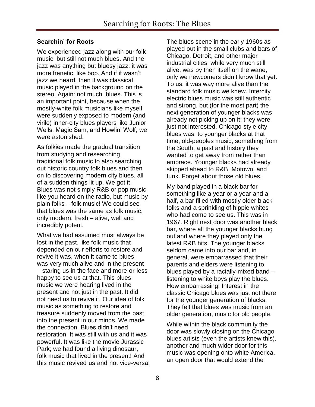## **Searchin' for Roots**

We experienced jazz along with our folk music, but still not much blues. And the jazz was anything but bluesy jazz; it was more frenetic, like bop. And if it wasn"t jazz we heard, then it was classical music played in the background on the stereo. Again: not much blues. This is an important point, because when the mostly-white folk musicians like myself were suddenly exposed to modern (and virile) inner-city blues players like Junior Wells, Magic Sam, and Howlin" Wolf, we were astonished.

As folkies made the gradual transition from studying and researching traditional folk music to also searching out historic country folk blues and then on to discovering modern city blues, all of a sudden things lit up. We got it. Blues was not simply R&B or pop music like you heard on the radio, but music by plain folks – folk music! We could see that blues was the same as folk music, only modern, fresh – alive, well and incredibly potent.

What we had assumed must always be lost in the past, like folk music that depended on our efforts to restore and revive it was, when it came to blues, was very much alive and in the present – staring us in the face and more-or-less happy to see us at that. This blues music we were hearing lived in the present and not just in the past. It did not need us to revive it. Our idea of folk music as something to restore and treasure suddenly moved from the past into the present in our minds. We made the connection. Blues didn"t need restoration. It was still with us and it was powerful. It was like the movie Jurassic Park; we had found a living dinosaur, folk music that lived in the present! And this music revived us and not vice-versa! The blues scene in the early 1960s as played out in the small clubs and bars of Chicago, Detroit, and other major industrial cities, while very much still alive, was by then itself on the wane, only we newcomers didn"t know that yet. To us, it was way more alive than the standard folk music we knew. Intercity electric blues music was still authentic and strong, but (for the most part) the next generation of younger blacks was already not picking up on it; they were just not interested. Chicago-style city blues was, to younger blacks at that time, old-peoples music, something from the South, a past and history they wanted to get away from rather than embrace. Younger blacks had already skipped ahead to R&B, Motown, and funk. Forget about those old blues.

My band played in a black bar for something like a year or a year and a half, a bar filled with mostly older black folks and a sprinkling of hippie whites who had come to see us. This was in 1967. Right next door was another black bar, where all the younger blacks hung out and where they played only the latest R&B hits. The younger blacks seldom came into our bar and, in general, were embarrassed that their parents and elders were listening to blues played by a racially-mixed band – listening to white boys play the blues. How embarrassing! Interest in the classic Chicago blues was just not there for the younger generation of blacks. They felt that blues was music from an older generation, music for old people.

While within the black community the door was slowly closing on the Chicago blues artists (even the artists knew this), another and much wider door for this music was opening onto white America, an open door that would extend the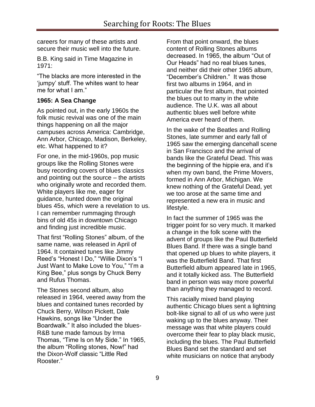careers for many of these artists and secure their music well into the future.

B.B. King said in Time Magazine in 1971:

"The blacks are more interested in the "jumpy" stuff. The whites want to hear me for what I am."

# **1965: A Sea Change**

As pointed out, in the early 1960s the folk music revival was one of the main things happening on all the major campuses across America: Cambridge, Ann Arbor, Chicago, Madison, Berkeley, etc. What happened to it?

For one, in the mid-1960s, pop music groups like the Rolling Stones were busy recording covers of blues classics and pointing out the source – the artists who originally wrote and recorded them. White players like me, eager for guidance, hunted down the original blues 45s, which were a revelation to us. I can remember rummaging through bins of old 45s in downtown Chicago and finding just incredible music.

That first "Rolling Stones" album, of the same name, was released in April of 1964. It contained tunes like Jimmy Reed's "Honest I Do," "Willie Dixon's "I Just Want to Make Love to You," "I"m a King Bee," plus songs by Chuck Berry and Rufus Thomas.

The Stones second album, also released in 1964, veered away from the blues and contained tunes recorded by Chuck Berry, Wilson Pickett, Dale Hawkins, songs like "Under the Boardwalk." It also included the blues-R&B tune made famous by Irma Thomas, "Time Is on My Side." In 1965, the album "Rolling stones, Now!" had the Dixon-Wolf classic "Little Red Rooster."

From that point onward, the blues content of Rolling Stones albums decreased. In 1965, the album "Out of Our Heads" had no real blues tunes, and neither did their other 1965 album, "December"s Children." It was those first two albums in 1964, and in particular the first album, that pointed the blues out to many in the white audience. The U.K. was all about authentic blues well before white America ever heard of them.

In the wake of the Beatles and Rolling Stones, late summer and early fall of 1965 saw the emerging dancehall scene in San Francisco and the arrival of bands like the Grateful Dead. This was the beginning of the hippie era, and it"s when my own band, the Prime Movers, formed in Ann Arbor, Michigan. We knew nothing of the Grateful Dead, yet we too arose at the same time and represented a new era in music and lifestyle.

In fact the summer of 1965 was the trigger point for so very much. It marked a change in the folk scene with the advent of groups like the Paul Butterfield Blues Band. If there was a single band that opened up blues to white players, it was the Butterfield Band. That first Butterfield album appeared late in 1965, and it totally kicked ass. The Butterfield band in person was way more powerful than anything they managed to record.

This racially mixed band playing authentic Chicago blues sent a lightning bolt-like signal to all of us who were just waking up to the blues anyway. Their message was that white players could overcome their fear to play black music, including the blues. The Paul Butterfield Blues Band set the standard and set white musicians on notice that anybody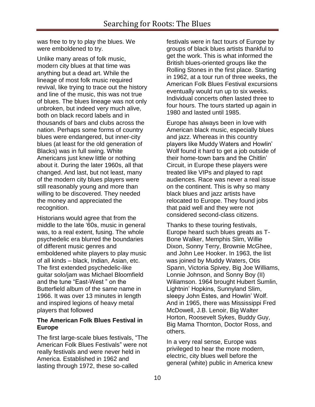was free to try to play the blues. We were emboldened to try.

Unlike many areas of folk music, modern city blues at that time was anything but a dead art. While the lineage of most folk music required revival, like trying to trace out the history and line of the music, this was not true of blues. The blues lineage was not only unbroken, but indeed very much alive, both on black record labels and in thousands of bars and clubs across the nation. Perhaps some forms of country blues were endangered, but inner-city blues (at least for the old generation of Blacks) was in full swing. White Americans just knew little or nothing about it. During the later 1960s, all that changed. And last, but not least, many of the modern city blues players were still reasonably young and more than willing to be discovered. They needed the money and appreciated the recognition.

Historians would agree that from the middle to the late "60s, music in general was, to a real extent, fusing. The whole psychedelic era blurred the boundaries of different music genres and emboldened white players to play music of all kinds – black, Indian, Asian, etc. The first extended psychedelic-like guitar solo/jam was Michael Bloomfield and the tune "East-West " on the Butterfield album of the same name in 1966. It was over 13 minutes in length and inspired legions of heavy metal players that followed

## **The American Folk Blues Festival in Europe**

The first large-scale blues festivals, "The American Folk Blues Festivals" were not really festivals and were never held in America. Established in 1962 and lasting through 1972, these so-called

festivals were in fact tours of Europe by groups of black blues artists thankful to get the work. This is what informed the British blues-oriented groups like the Rolling Stones in the first place. Starting in 1962, at a tour run of three weeks, the American Folk Blues Festival excursions eventually would run up to six weeks. Individual concerts often lasted three to four hours. The tours started up again in 1980 and lasted until 1985.

Europe has always been in love with American black music, especially blues and jazz. Whereas in this country players like Muddy Waters and Howlin" Wolf found it hard to get a job outside of their home-town bars and the Chitlin" Circuit, in Europe these players were treated like VIPs and played to rapt audiences. Race was never a real issue on the continent. This is why so many black blues and jazz artists have relocated to Europe. They found jobs that paid well and they were not considered second-class citizens.

Thanks to these touring festivals, Europe heard such blues greats as T-Bone Walker, Memphis Slim, Willie Dixon, Sonny Terry, Brownie McGhee, and John Lee Hooker. In 1963, the list was joined by Muddy Waters, Otis Spann, Victoria Spivey, Big Joe Williams, Lonnie Johnson, and Sonny Boy (II) Wiliamson. 1964 brought Hubert Sumlin, Lightnin" Hopkins, Sunnyland Slim, sleepy John Estes, and Howlin' Wolf. And in 1965, there was Mississippi Fred McDowell, J.B. Lenoir, Big Walter Horton, Roosevelt Sykes, Buddy Guy, Big Mama Thornton, Doctor Ross, and others.

In a very real sense, Europe was privileged to hear the more modern, electric, city blues well before the general (white) public in America knew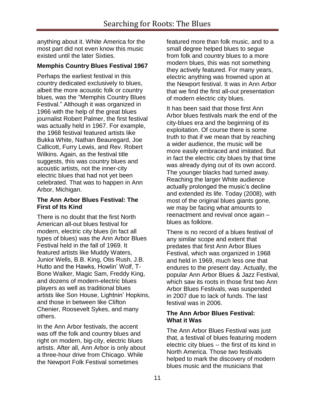anything about it. White America for the most part did not even know this music existed until the later Sixties.

## **Memphis Country Blues Festival 1967**

Perhaps the earliest festival in this country dedicated exclusively to blues, albeit the more acoustic folk or country blues, was the "Memphis Country Blues Festival." Although it was organized in 1966 with the help of the great blues journalist Robert Palmer, the first festival was actually held in 1967. For example, the 1968 festival featured artists like Bukka White, Nathan Beauregard, Joe Callicott, Furry Lewis, and Rev. Robert Wilkins. Again, as the festival title suggests, this was country blues and acoustic artists, not the inner-city electric blues that had not yet been celebrated. That was to happen in Ann Arbor, Michigan.

#### **The Ann Arbor Blues Festival: The First of Its Kind**

There is no doubt that the first North American all-out blues festival for modern, electric city blues (in fact all types of blues) was the Ann Arbor Blues Festival held in the fall of 1969. It featured artists like Muddy Waters, Junior Wells, B.B. King, Otis Rush, J.B. Hutto and the Hawks, Howlin" Wolf, T-Bone Walker, Magic Sam, Freddy King, and dozens of modern-electric blues players as well as traditional blues artists like Son House, Lightnin" Hopkins, and those in between like Clifton Chenier, Roosevelt Sykes, and many others.

In the Ann Arbor festivals, the accent was off the folk and country blues and right on modern, big-city, electric blues artists. After all, Ann Arbor is only about a three-hour drive from Chicago. While the Newport Folk Festival sometimes

featured more than folk music, and to a small degree helped blues to segue from folk and country blues to a more modern blues, this was not something they actively featured. For many years, electric anything was frowned upon at the Newport festival. It was in Ann Arbor that we find the first all-out presentation of modern electric city blues.

It has been said that those first Ann Arbor blues festivals mark the end of the city-blues era and the beginning of its exploitation. Of course there is some truth to that if we mean that by reaching a wider audience, the music will be more easily embraced and imitated. But in fact the electric city blues by that time was already dying out of its own accord. The younger blacks had turned away. Reaching the larger White audience actually prolonged the music's decline and extended its life. Today (2008), with most of the original blues giants gone, we may be facing what amounts to reenactment and revival once again – blues as folklore.

There is no record of a blues festival of any similar scope and extent that predates that first Ann Arbor Blues Festival, which was organized in 1968 and held in 1969, much less one that endures to the present day. Actually, the popular Ann Arbor Blues & Jazz Festival, which saw its roots in those first two Ann Arbor Blues Festivals, was suspended in 2007 due to lack of funds. The last festival was in 2006.

## **The Ann Arbor Blues Festival: What it Was**

The Ann Arbor Blues Festival was just that, a festival of blues featuring modern electric city blues -- the first of its kind in North America. Those two festivals helped to mark the discovery of modern blues music and the musicians that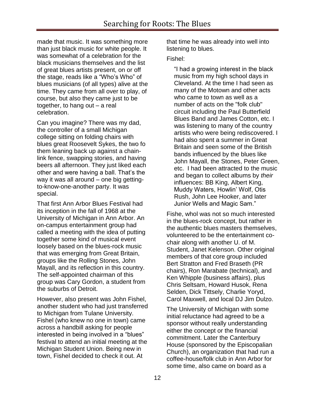made that music. It was something more than just black music for white people. It was somewhat of a celebration for the black musicians themselves and the list of great blues artists present, on or off the stage, reads like a "Who"s Who" of blues musicians (of all types) alive at the time. They came from all over to play, of course, but also they came just to be together, to hang out – a real celebration.

Can you imagine? There was my dad, the controller of a small Michigan college sitting on folding chairs with blues great Roosevelt Sykes, the two fo them leaning back up against a chainlink fence, swapping stories, and having beers all afternoon. They just liked each other and were having a ball. That"s the way it was all around – one big gettingto-know-one-another party. It was special.

That first Ann Arbor Blues Festival had its inception in the fall of 1968 at the University of Michigan in Ann Arbor. An on-campus entertainment group had called a meeting with the idea of putting together some kind of musical event loosely based on the blues-rock music that was emerging from Great Britain, groups like the Rolling Stones, John Mayall, and its reflection in this country. The self-appointed chairman of this group was Cary Gordon, a student from the suburbs of Detroit.

However, also present was John Fishel, another student who had just transferred to Michigan from Tulane University. Fishel (who knew no one in town) came across a handbill asking for people interested in being involved in a "blues" festival to attend an initial meeting at the Michigan Student Union. Being new in town, Fishel decided to check it out. At

that time he was already into well into listening to blues.

#### Fishel:

"I had a growing interest in the black music from my high school days in Cleveland. At the time I had seen as many of the Motown and other acts who came to town as well as a number of acts on the "folk club" circuit including the Paul Butterfield Blues Band and James Cotton, etc. I was listening to many of the country artists who were being rediscovered. I had also spent a summer in Great Britain and seen some of the British bands influenced by the blues like John Mayall, the Stones, Peter Green, etc. I had been attracted to the music and began to collect albums by *their* influences: BB King, Albert King, Muddy Waters, Howlin" Wolf, Otis Rush, John Lee Hooker, and later Junior Wells and Magic Sam."

Fishe, whol was not so much interested in the blues-rock concept, but rather in the authentic blues masters themselves, volunteered to be the entertainment cochair along with another U. of M. Student, Janet Kelenson. Other original members of that core group included Bert Stratton and Fred Braseth (PR chairs), Ron Marabate (technical), and Ken Whipple (business affairs), plus Chris Seltsam, Howard Husok, Rena Selden, Dick Tittsely, Charlie Yoryd, Carol Maxwell, and local DJ Jim Dulzo.

The University of Michigan with some initial reluctance had agreed to be a sponsor without really understanding either the concept or the financial commitment. Later the Canterbury House (sponsored by the Episcopalian Church), an organization that had run a coffee-house/folk club in Ann Arbor for some time, also came on board as a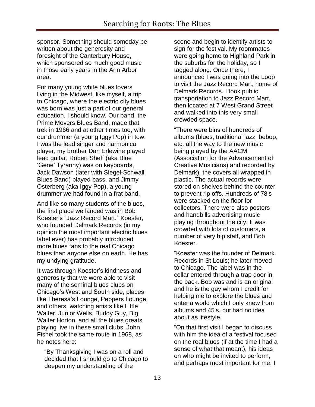sponsor. Something should someday be written about the generosity and foresight of the Canterbury House, which sponsored so much good music in those early years in the Ann Arbor area.

For many young white blues lovers living in the Midwest, like myself, a trip to Chicago, where the electric city blues was born was just a part of our general education. I should know. Our band, the Prime Movers Blues Band, made that trek in 1966 and at other times too, with our drummer (a young Iggy Pop) in tow. I was the lead singer and harmonica player, my brother Dan Erlewine played lead guitar, Robert Sheff (aka Blue "Gene" Tyranny) was on keyboards, Jack Dawson (later with Siegel-Schwall Blues Band) played bass, and Jimmy Osterberg (aka Iggy Pop), a young drummer we had found in a frat band.

And like so many students of the blues, the first place we landed was in Bob Koester"s "Jazz Record Mart." Koester, who founded Delmark Records (in my opinion the most important electric blues label ever) has probably introduced more blues fans to the real Chicago blues than anyone else on earth. He has my undying gratitude.

It was through Koester"s kindness and generosity that we were able to visit many of the seminal blues clubs on Chicago"s West and South side, places like Theresa"s Lounge, Peppers Lounge, and others, watching artists like Little Walter, Junior Wells, Buddy Guy, Big Walter Horton, and all the blues greats playing live in these small clubs. John Fishel took the same route in 1968, as he notes here:

"By Thanksgiving I was on a roll and decided that I should go to Chicago to deepen my understanding of the

scene and begin to identify artists to sign for the festival. My roommates were going home to Highland Park in the suburbs for the holiday, so I tagged along. Once there, I announced I was going into the Loop to visit the Jazz Record Mart, home of Delmark Records. I took public transportation to Jazz Record Mart, then located at 7 West Grand Street and walked into this very small crowded space.

"There were bins of hundreds of albums (blues, traditional jazz, bebop, etc. all the way to the new music being played by the AACM (Association for the Advancement of Creative Musicians) and recorded by Delmark), the covers all wrapped in plastic. The actual records were stored on shelves behind the counter to prevent rip offs. Hundreds of 78's were stacked on the floor for collectors. There were also posters and handbills advertising music playing throughout the city. It was crowded with lots of customers, a number of very hip staff, and Bob Koester.

"Koester was the founder of Delmark Records in St Louis; he later moved to Chicago. The label was in the cellar entered through a trap door in the back. Bob was and is an original and he is the guy whom I credit for helping me to explore the blues and enter a world which I only knew from albums and 45's, but had no idea about as lifestyle.

"On that first visit I began to discuss with him the idea of a festival focused on the real blues (if at the time I had a sense of what that meant), his ideas on who might be invited to perform, and perhaps most important for me, I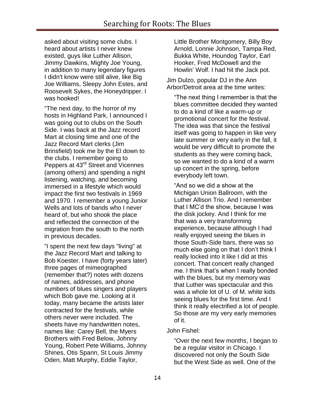asked about visiting some clubs. I heard about artists I never knew existed, guys like Luther Allison, Jimmy Dawkins, Mighty Joe Young, in addition to many legendary figures I didn't know were still alive, like Big Joe Williams, Sleepy John Estes, and Roosevelt Sykes, the Honeydripper. I was hooked!

"The next day, to the horror of my hosts in Highland Park, I announced I was going out to clubs on the South Side. I was back at the Jazz record Mart at closing time and one of the Jazz Record Mart clerks (Jim Brinsfield) took me by the El down to the clubs. I remember going to Peppers at 43rd Street and Vicennes (among others) and spending a night listening, watching, and becoming immersed in a lifestyle which would impact the first two festivals in 1969 and 1970. I remember a young Junior Wells and lots of bands who I never heard of, but who shook the place and reflected the connection of the migration from the south to the north in previous decades.

"I spent the next few days "living" at the Jazz Record Mart and talking to Bob Koester. I have (forty years later) three pages of mimeographed (remember that?) notes with dozens of names, addresses, and phone numbers of blues singers and players which Bob gave me. Looking at it today, many became the artists later contracted for the festivals, while others never were included. The sheets have my handwritten notes, names like: Carey Bell, the Myers Brothers with Fred Below, Johnny Young, Robert Pete Williams, Johnny Shines, Otis Spann, St Louis Jimmy Oden, Matt Murphy, Eddie Taylor,

Little Brother Montgomery, Billy Boy Arnold, Lonnie Johnson, Tampa Red, Bukka White, Houndog Taylor, Earl Hooker, Fred McDowell and the Howlin" Wolf. I had hit the Jack pot.

Jim Dulzo, popular DJ in the Ann Arbor/Detroit area at the time writes:

"The next thing I remember is that the blues committee decided they wanted to do a kind of like a warm-up or promotional concert for the festival. The idea was that since the festival itself was going to happen in like very late summer or very early in the fall, it would be very difficult to promote the students as they were coming back, so we wanted to do a kind of a warm up concert in the spring, before everybody left town.

"And so we did a show at the Michigan Union Ballroom, with the Luther Allison Trio. And I remember that I MC"d the show, because I was the disk jockey. And I think for me that was a very transforming experience, because although I had really enjoyed seeing the blues in those South-Side bars, there was so much else going on that I don"t think I really locked into it like I did at this concert. That concert really changed me. I think that"s when I really bonded with the blues, but my memory was that Luther was spectacular and this was a whole lot of U. of M. white kids seeing blues for the first time. And I think it really electrified a lot of people. So those are my very early memories of it.

#### John Fishel:

"Over the next few months, I began to be a regular visitor in Chicago. I discovered not only the South Side but the West Side as well. One of the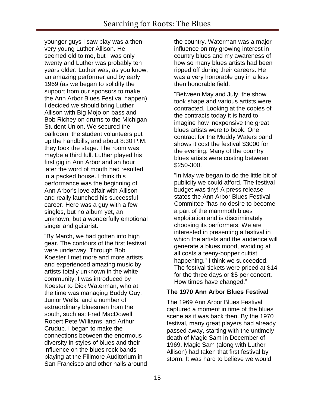younger guys I saw play was a then very young Luther Allison. He seemed old to me, but I was only twenty and Luther was probably ten years older. Luther was, as you know, an amazing performer and by early 1969 (as we began to solidify the support from our sponsors to make the Ann Arbor Blues Festival happen) I decided we should bring Luther Allison with Big Mojo on bass and Bob Richey on drums to the Michigan Student Union. We secured the ballroom, the student volunteers put up the handbills, and about 8:30 P.M. they took the stage. The room was maybe a third full. Luther played his first gig in Ann Arbor and an hour later the word of mouth had resulted in a packed house. I think this performance was the beginning of Ann Arbor's love affair with Allison and really launched his successful career. Here was a guy with a few singles, but no album yet, an unknown, but a wonderfully emotional singer and guitarist.

"By March, we had gotten into high gear. The contours of the first festival were underway. Through Bob Koester I met more and more artists and experienced amazing music by artists totally unknown in the white community. I was introduced by Koester to Dick Waterman, who at the time was managing Buddy Guy, Junior Wells, and a number of extraordinary bluesmen from the south, such as: Fred MacDowell, Robert Pete Williams, and Arthur Crudup. I began to make the connections between the enormous diversity in styles of blues and their influence on the blues rock bands playing at the Fillmore Auditorium in San Francisco and other halls around the country. Waterman was a major influence on my growing interest in country blues and my awareness of how so many blues artists had been ripped off during their careers. He was a very honorable guy in a less then honorable field.

"Between May and July, the show took shape and various artists were contracted. Looking at the copies of the contracts today it is hard to imagine how inexpensive the great blues artists were to book. One contract for the Muddy Waters band shows it cost the festival \$3000 for the evening. Many of the country blues artists were costing between \$250-300.

"In May we began to do the little bit of publicity we could afford. The festival budget was tiny! A press release states the Ann Arbor Blues Festival Committee "has no desire to become a part of the mammoth blues exploitation and is discriminately choosing its performers. We are interested in presenting a festival in which the artists and the audience will generate a blues mood, avoiding at all costs a teeny-bopper cultist happening." I think we succeeded. The festival tickets were priced at \$14 for the three days or \$5 per concert. How times have changed."

#### **The 1970 Ann Arbor Blues Festival**

The 1969 Ann Arbor Blues Festival captured a moment in time of the blues scene as it was back then. By the 1970 festival, many great players had already passed away, starting with the untimely death of Magic Sam in December of 1969. Magic Sam (along with Luther Allison) had taken that first festival by storm. It was hard to believe we would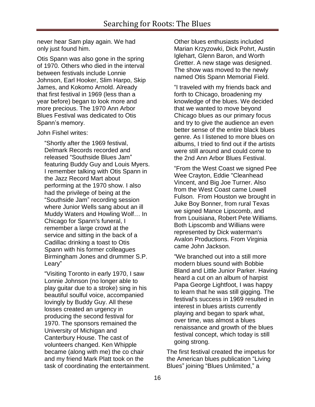never hear Sam play again. We had only just found him.

Otis Spann was also gone in the spring of 1970. Others who died in the interval between festivals include Lonnie Johnson, Earl Hooker, Slim Harpo, Skip James, and Kokomo Arnold. Already that first festival in 1969 (less than a year before) began to look more and more precious. The 1970 Ann Arbor Blues Festival was dedicated to Otis Spann"s memory.

John Fishel writes:

"Shortly after the 1969 festival, Delmark Records recorded and released "Southside Blues Jam" featuring Buddy Guy and Louis Myers. I remember talking with Otis Spann in the Jazz Record Mart about performing at the 1970 show. I also had the privilege of being at the "Southside Jam" recording session where Junior Wells sang about an ill Muddy Waters and Howling Wolf… In Chicago for Spann's funeral, I remember a large crowd at the service and sitting in the back of a Cadillac drinking a toast to Otis Spann with his former colleagues Birmingham Jones and drummer S.P. Leary"

"Visiting Toronto in early 1970, I saw Lonnie Johnson (no longer able to play guitar due to a stroke) sing in his beautiful soulful voice, accompanied lovingly by Buddy Guy. All these losses created an urgency in producing the second festival for 1970. The sponsors remained the University of Michigan and Canterbury House. The cast of volunteers changed. Ken Whipple became (along with me) the co chair and my friend Mark Platt took on the task of coordinating the entertainment. Other blues enthusiasts included Marian Krzyzowki, Dick Pohrt, Austin Iglehart, Glenn Baron, and Worth Gretter. A new stage was designed. The show was moved to the newly named Otis Spann Memorial Field.

"I traveled with my friends back and forth to Chicago, broadening my knowledge of the blues. We decided that we wanted to move beyond Chicago blues as our primary focus and try to give the audience an even better sense of the entire black blues genre. As I listened to more blues on albums, I tried to find out if the artists were still around and could come to the 2nd Ann Arbor Blues Festival.

"From the West Coast we signed Pee Wee Crayton, Eddie "Cleanhead Vincent, and Big Joe Turner. Also from the West Coast came Lowell Fulson. From Houston we brought in Juke Boy Bonner, from rural Texas we signed Mance Lipscomb, and from Louisiana, Robert Pete Williams. Both Lipscomb and Willians were represented by Dick waterman's Avalon Productions. From Virginia came John Jackson.

"We branched out into a still more modern blues sound with Bobbie Bland and Little Junior Parker. Having heard a cut on an album of harpist Papa George Lightfoot, I was happy to learn that he was still gigging. The festival's success in 1969 resulted in interest in blues artists currently playing and began to spark what, over time, was almost a blues renaissance and growth of the blues festival concept, which today is still going strong.

The first festival created the impetus for the American blues publication "Living Blues" joining "Blues Unlimited," a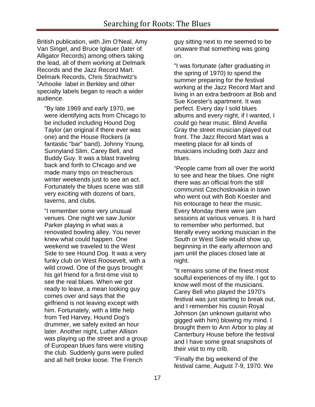British publication, with Jim O'Neal, Amy Van Singel, and Bruce Iglauer (later of Alligator Records) among others taking the lead, all of them working at Delmark Records and the Jazz Record Mart. Delmark Records, Chris Strachwitz's "Arhoolie label in Berkley and other specialty labels began to reach a wider audience.

"By late 1969 and early 1970, we were identifying acts from Chicago to be included including Hound Dog Taylor (an original if there ever was one) and the House Rockers (a fantastic "bar" band), Johnny Young, Sunnyland Slim, Carey Bell, and Buddy Guy. It was a blast traveling back and forth to Chicago and we made many trips on treacherous winter weekends just to see an act. Fortunately the blues scene was still very exciting with dozens of bars, taverns, and clubs.

"I remember some very unusual venues. One night we saw Junior Parker playing in what was a renovated bowling alley. You never knew what could happen. One weekend we traveled to the West Side to see Hound Dog. It was a very funky club on West Roosevelt, with a wild crowd. One of the guys brought his girl friend for a first-time visit to see the real blues. When we got ready to leave, a mean looking guy comes over and says that the girlfriend is not leaving except with him. Fortunately, with a little help from Ted Harvey, Hound Dog's drummer, we safely exited an hour later. Another night, Luther Allison was playing up the street and a group of European blues fans were visiting the club. Suddenly guns were pulled and all hell broke loose. The French

guy sitting next to me seemed to be unaware that something was going on.

"I was fortunate (after graduating in the spring of 1970) to spend the summer preparing for the festival working at the Jazz Record Mart and living in an extra bedroom at Bob and Sue Koester's apartment. It was perfect. Every day I sold blues albums and every night, if I wanted, I could go hear music. Blind Arvella Gray the street musician played out front. The Jazz Record Mart was a meeting place for all kinds of musicians including both Jazz and blues.

"People came from all over the world to see and hear the blues. One night there was an official from the still communist Czechoslovakia in town who went out with Bob Koester and his entourage to hear the music. Every Monday there were jam sessions at various venues. It is hard to remember who performed, but literally every working musician in the South or West Side would show up, beginning in the early afternoon and jam until the places closed late at night.

"It remains some of the finest most soulful experiences of my life. I got to know well most of the musicians. Carey Bell who played the 1970's festival was just starting to break out, and I remember his cousin Royal Johnson (an unknown guitarist who gigged with him) blowing my mind. I brought them to Ann Arbor to play at Canterbury House before the festival and I have some great snapshots of their visit to my crib.

"Finally the big weekend of the festival came, August 7-9, 1970. We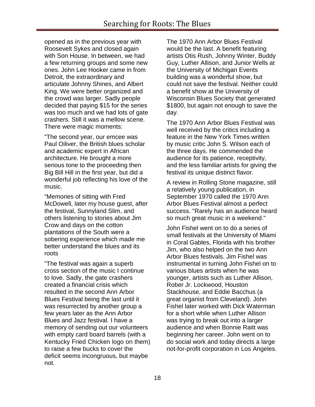opened as in the previous year with Roosevelt Sykes and closed again with Son House. In between, we had a few returning groups and some new ones. John Lee Hooker came in from Detroit, the extraordinary and articulate Johnny Shines, and Albert King. We were better organized and the crowd was larger. Sadly people decided that paying \$15 for the series was too much and we had lots of gate crashers. Still it was a mellow scene. There were magic moments:

"The second year, our emcee was Paul Oiliver, the British blues scholar and academic expert in African architecture. He brought a more serious tone to the proceeding then Big Bill Hill in the first year, but did a wonderful job reflecting his love of the music.

"Memories of sitting with Fred McDowell, later my house guest, after the festival, Sunnyland Slim, and others listening to stories about Jim Crow and days on the cotton plantations of the South were a sobering experience which made me better understand the blues and its roots

"The festival was again a superb cross section of the music I continue to love. Sadly, the gate crashers created a financial crisis which resulted in the second Ann Arbor Blues Festival being the last until it was resurrected by another group a few years later as the Ann Arbor Blues and Jazz festival. I have a memory of sending out our volunteers with empty card board barrels (with a Kentucky Fried Chicken logo on them) to raise a few bucks to cover the deficit seems incongruous, but maybe not.

The 1970 Ann Arbor Blues Festival would be the last. A benefit featuring artists Otis Rush, Johnny Winter, Buddy Guy, Luther Allison, and Junior Wells at the University of Michigan Events building was a wonderful show, but could not save the festival. Neither could a benefit show at the University of Wisconsin Blues Society that generated \$1800, but again not enough to save the day.

The 1970 Ann Arbor Blues Festival was well received by the critics including a feature in the New York Times written by music critic John S. Wilson each of the three days. He commended the audience for its patience, receptivity, and the less familiar artists for giving the festival its unique distinct flavor.

A review in Rolling Stone magazine, still a relatively young publication, in September 1970 called the 1970 Ann Arbor Blues Festival almost a perfect success. "Rarely has an audience heard so much great music in a weekend."

John Fishel went on to do a series of small festivals at the University of Miami in Coral Gables, Florida with his brother Jim, who also helped on the two Ann Arbor Blues festivals. Jim Fishel was instrumental in turning John Fishel on to various blues artists when he was younger, artists such as Luther Allison, Rober Jr. Lockwood, Houston Stackhouse, and Eddie Bacchus (a great organist from Cleveland). John Fishel later worked with Dick Waterman for a short while when Luther Allison was trying to break out into a larger audience and when Bonnie Raitt was beginning her career. John went on to do social work and today directs a large not-for-profit corporation in Los Angeles.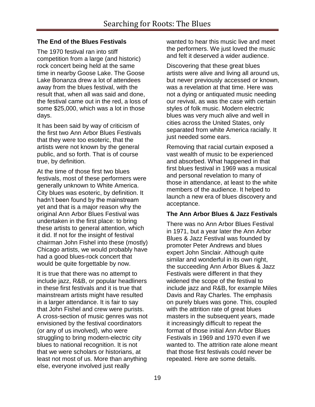## **The End of the Blues Festivals**

The 1970 festival ran into stiff competition from a large (and historic) rock concert being held at the same time in nearby Goose Lake. The Goose Lake Bonanza drew a lot of attendees away from the blues festival, with the result that, when all was said and done, the festival came out in the red, a loss of some \$25,000, which was a lot in those days.

It has been said by way of criticism of the first two Ann Arbor Blues Festivals that they were too esoteric, that the artists were not known by the general public, and so forth. That is of course true, by definition.

At the time of those first two blues festivals, most of these performers were generally unknown to White America. City blues was esoteric, by definition. It hadn"t been found by the mainstream yet and that is a major reason why the original Ann Arbor Blues Festival was undertaken in the first place: to bring these artists to general attention, which it did. If not for the insight of festival chairman John Fishel into these (mostly) Chicago artists, we would probably have had a good blues-rock concert that would be quite forgettable by now.

It is true that there was no attempt to include jazz, R&B, or popular headliners in these first festivals and it is true that mainstream artists might have resulted in a larger attendance. It is fair to say that John Fishel and crew were purists. A cross-section of music genres was not envisioned by the festival coordinators (or any of us involved), who were struggling to bring modern-electric city blues to national recognition. It is not that we were scholars or historians, at least not most of us. More than anything else, everyone involved just really

wanted to hear this music live and meet the performers. We just loved the music and felt it deserved a wider audience.

Discovering that these great blues artists were alive and living all around us, but never previously accessed or known, was a revelation at that time. Here was not a dying or antiquated music needing our revival, as was the case with certain styles of folk music. Modern electric blues was very much alive and well in cities across the United States, only separated from white America racially. It just needed some ears.

Removing that racial curtain exposed a vast wealth of music to be experienced and absorbed. What happened in that first blues festival in 1969 was a musical and personal revelation to many of those in attendance, at least to the white members of the audience. It helped to launch a new era of blues discovery and acceptance.

#### **The Ann Arbor Blues & Jazz Festivals**

There was no Ann Arbor Blues Festival in 1971, but a year later the Ann Arbor Blues & Jazz Festival was founded by promoter Peter Andrews and blues expert John Sinclair. Although quite similar and wonderful in its own right, the succeeding Ann Arbor Blues & Jazz Festivals were different in that they widened the scope of the festival to include jazz and R&B, for example Miles Davis and Ray Charles. The emphasis on purely blues was gone. This, coupled with the attrition rate of great blues masters in the subsequent years, made it increasingly difficult to repeat the format of those initial Ann Arbor Blues Festivals in 1969 and 1970 even if we wanted to. The attrition rate alone meant that those first festivals could never be repeated. Here are some details.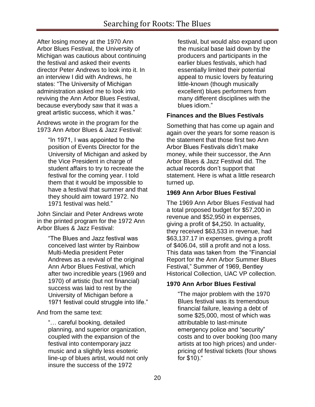After losing money at the 1970 Ann Arbor Blues Festival, the University of Michigan was cautious about continuing the festival and asked their events director Peter Andrews to look into it. In an interview I did with Andrews, he states: "The University of Michigan administration asked me to look into reviving the Ann Arbor Blues Festival, because everybody saw that it was a great artistic success, which it was."

Andrews wrote in the program for the 1973 Ann Arbor Blues & Jazz Festival:

> "In 1971, I was appointed to the position of Events Director for the University of Michigan and asked by the Vice President in charge of student affairs to try to recreate the festival for the coming year. I told them that it would be impossible to have a festival that summer and that they should aim toward 1972. No 1971 festival was held."

John Sinclair and Peter Andrews wrote in the printed program for the 1972 Ann Arbor Blues & Jazz Festival:

> "The Blues and Jazz festival was conceived last winter by Rainbow Multi-Media president Peter Andrews as a revival of the original Ann Arbor Blues Festival, which after two incredible years (1969 and 1970) of artistic (but not financial) success was laid to rest by the University of Michigan before a 1971 festival could struggle into life."

And from the same text:

"… careful booking, detailed planning, and superior organization, coupled with the expansion of the festival into contemporary jazz music and a slightly less esoteric line-up of blues artist, would not only insure the success of the 1972

festival, but would also expand upon the musical base laid down by the producers and participants in the earlier blues festivals, which had essentially limited their potential appeal to music lovers by featuring little-known (though musically excellent) blues performers from many different disciplines with the blues idiom."

# **Finances and the Blues Festivals**

Something that has come up again and again over the years for some reason is the statement that those first two Ann Arbor Blues Festivals didn"t make money, while their successor, the Ann Arbor Blues & Jazz Festival did. The actual records don"t support that statement. Here is what a little research turned up.

# **1969 Ann Arbor Blues Festival**

The 1969 Ann Arbor Blues Festival had a total proposed budget for \$57,200 in revenue and \$52,950 in expenses, giving a profit of \$4,250. In actuality, they received \$63,533 in revenue, had \$63,137.17 in expenses, giving a profit of \$406.04, still a profit and not a loss. This data was taken from the "Financial Report for the Ann Arbor Summer Blues Festival," Summer of 1969, Bentley Historical Collection, UAC VP collection.

# **1970 Ann Arbor Blues Festival**

"The major problem with the 1970 Blues festival was its tremendous financial failure, leaving a debt of some \$25,000, most of which was attributable to last-minute emergency police and "security" costs and to over booking (too many artists at too high prices) and underpricing of festival tickets (four shows for \$10)."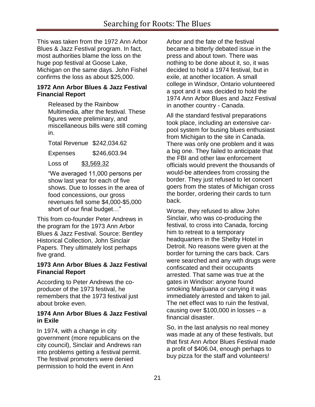This was taken from the 1972 Ann Arbor Blues & Jazz Festival program. In fact, most authorities blame the loss on the huge pop festival at Goose Lake, Michigan on the same days. John Fishel confirms the loss as about \$25,000.

#### **1972 Ann Arbor Blues & Jazz Festival Financial Report**

Released by the Rainbow Multimedia, after the festival. These figures were preliminary, and miscellaneous bills were still coming in.

Total Revenue \$242,034.62

Expenses \$246,603.94

Loss of \$3,569.32

"We averaged 11,000 persons per show last year for each of five shows. Due to losses in the area of food concessions, our gross revenues fell some \$4,000-\$5,000 short of our final budget…"

This from co-founder Peter Andrews in the program for the 1973 Ann Arbor Blues & Jazz Festival. Source: Bentley Historical Collection, John Sinclair Papers. They ultimately lost perhaps five grand.

#### **1973 Ann Arbor Blues & Jazz Festival Financial Report**

According to Peter Andrews the coproducer of the 1973 festival, he remembers that the 1973 festival just about broke even.

## **1974 Ann Arbor Blues & Jazz Festival in Exile**

In 1974, with a change in city government (more republicans on the city council), Sinclair and Andrews ran into problems getting a festival permit. The festival promoters were denied permission to hold the event in Ann

Arbor and the fate of the festival became a bitterly debated issue in the press and about town. There was nothing to be done about it, so, it was decided to hold a 1974 festival, but in exile, at another location. A small college in Windsor, Ontario volunteered a spot and it was decided to hold the 1974 Ann Arbor Blues and Jazz Festival in another country - Canada.

All the standard festival preparations took place, including an extensive carpool system for busing blues enthusiast from Michigan to the site in Canada. There was only one problem and it was a big one. They failed to anticipate that the FBI and other law enforcement officials would prevent the thousands of would-be attendees from crossing the border. They just refused to let concert goers from the states of Michigan cross the border, ordering their cards to turn back.

Worse, they refused to allow John Sinclair, who was co-producing the festival, to cross into Canada, forcing him to retreat to a temporary headquarters in the Shelby Hotel in Detroit. No reasons were given at the border for turning the cars back. Cars were searched and any with drugs were confiscated and their occupants arrested. That same was true at the gates in Windsor: anyone found smoking Marijuana or carrying it was immediately arrested and taken to jail. The net effect was to ruin the festival, causing over \$100,000 in losses -- a financial disaster.

So, in the last analysis no real money was made at any of these festivals, but that first Ann Arbor Blues Festival made a profit of \$406.04, enough perhaps to buy pizza for the staff and volunteers!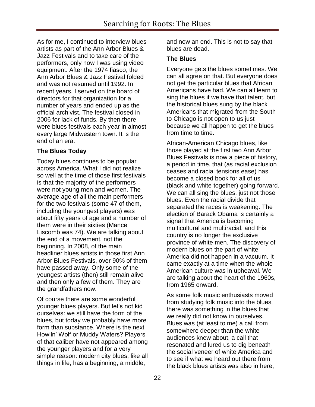As for me, I continued to interview blues artists as part of the Ann Arbor Blues & Jazz Festivals and to take care of the performers, only now I was using video equipment. After the 1974 fiasco, the Ann Arbor Blues & Jazz Festival folded and was not resumed until 1992. In recent years, I served on the board of directors for that organization for a number of years and ended up as the official archivist. The festival closed in 2006 for lack of funds. By then there were blues festivals each year in almost every large Midwestern town. It is the end of an era.

# **The Blues Today**

Today blues continues to be popular across America. What I did not realize so well at the time of those first festivals is that the majority of the performers were not young men and women. The average age of all the main performers for the two festivals (some 47 of them, including the youngest players) was about fifty years of age and a number of them were in their sixties (Mance Liscomb was 74). We are talking about the end of a movement, not the beginning. In 2008, of the main headliner blues artists in those first Ann Arbor Blues Festivals, over 90% of them have passed away. Only some of the youngest artists (then) still remain alive and then only a few of them. They are the grandfathers now.

Of course there are some wonderful younger blues players. But let"s not kid ourselves: we still have the form of the blues, but today we probably have more form than substance. Where is the next Howlin" Wolf or Muddy Waters? Players of that caliber have not appeared among the younger players and for a very simple reason: modern city blues, like all things in life, has a beginning, a middle,

and now an end. This is not to say that blues are dead.

## **The Blues**

Everyone gets the blues sometimes. We can all agree on that. But everyone does not get the particular blues that African Americans have had. We can all learn to sing the blues if we have that talent, but the historical blues sung by the black Americans that migrated from the South to Chicago is not open to us just because we all happen to get the blues from time to time.

African-American Chicago blues, like those played at the first two Ann Arbor Blues Festivals is now a piece of history, a period in time, that (as racial exclusion ceases and racial tensions ease) has become a closed book for all of us (black and white together) going forward. We can all sing the blues, just not those blues. Even the racial divide that separated the races is weakening. The election of Barack Obama is certainly a signal that America is becoming multicultural and multiracial, and this country is no longer the exclusive province of white men. The discovery of modern blues on the part of white America did not happen in a vacuum. It came exactly at a time when the whole American culture was in upheaval. We are talking about the heart of the 1960s, from 1965 onward.

As some folk music enthusiasts moved from studying folk music into the blues, there was something in the blues that we really did not know in ourselves. Blues was (at least to me) a call from somewhere deeper than the white audiences knew about, a call that resonated and lured us to dig beneath the social veneer of white America and to see if what we heard out there from the black blues artists was also in here,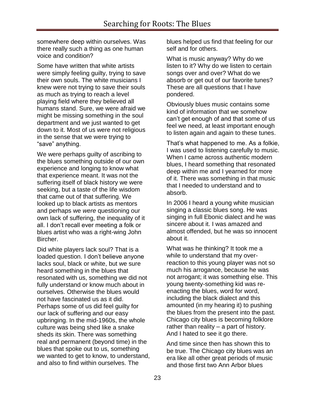somewhere deep within ourselves. Was there really such a thing as one human voice and condition?

Some have written that white artists were simply feeling guilty, trying to save their own souls. The white musicians I knew were not trying to save their souls as much as trying to reach a level playing field where they believed all humans stand. Sure, we were afraid we might be missing something in the soul department and we just wanted to get down to it. Most of us were not religious in the sense that we were trying to "save" anything.

We were perhaps guilty of ascribing to the blues something outside of our own experience and longing to know what that experience meant. It was not the suffering itself of black history we were seeking, but a taste of the life wisdom that came out of that suffering. We looked up to black artists as mentors and perhaps we *were* questioning our own lack of suffering, the inequality of it all. I don"t recall ever meeting a folk or blues artist who was a right-wing John Bircher.

Did white players lack soul? That is a loaded question. I don"t believe anyone lacks soul, black or white, but we sure heard something in the blues that resonated with us, something we did not fully understand or know much about in ourselves. Otherwise the blues would not have fascinated us as it did. Perhaps some of us did feel guilty for our lack of suffering and our easy upbringing. In the mid-1960s, the whole culture was being shed like a snake sheds its skin. There was something real and permanent (beyond time) in the blues that spoke out to us, something we wanted to get to know, to understand, and also to find within ourselves. The

blues helped us find that feeling for our self and for others.

What is music anyway? Why do we listen to it? Why do we listen to certain songs over and over? What do we absorb or get out of our favorite tunes? These are all questions that I have pondered.

Obviously blues music contains some kind of information that we somehow can"t get enough of and that some of us feel we need, at least important enough to listen again and again to these tunes.

That"s what happened to me. As a folkie, I was used to listening carefully to music. When I came across authentic modern blues, I heard something that resonated deep within me and I yearned for more of it. There was something in that music that I needed to understand and to absorb.

In 2006 I heard a young white musician singing a classic blues song. He was singing in full Ebonic dialect and he was sincere about it. I was amazed and almost offended, but he was so innocent about it.

What was he thinking? It took me a while to understand that my overreaction to this young player was not so much his arrogance, because he was not arrogant; it was something else. This young twenty-something kid was reenacting the blues, word for word, including the black dialect and this amounted (in my hearing it) to pushing the blues from the present into the past. Chicago city blues is becoming folklore rather than reality – a part of history. And I hated to see it go there.

And time since then has shown this to be true. The Chicago city blues was an era like all other great periods of music and those first two Ann Arbor blues